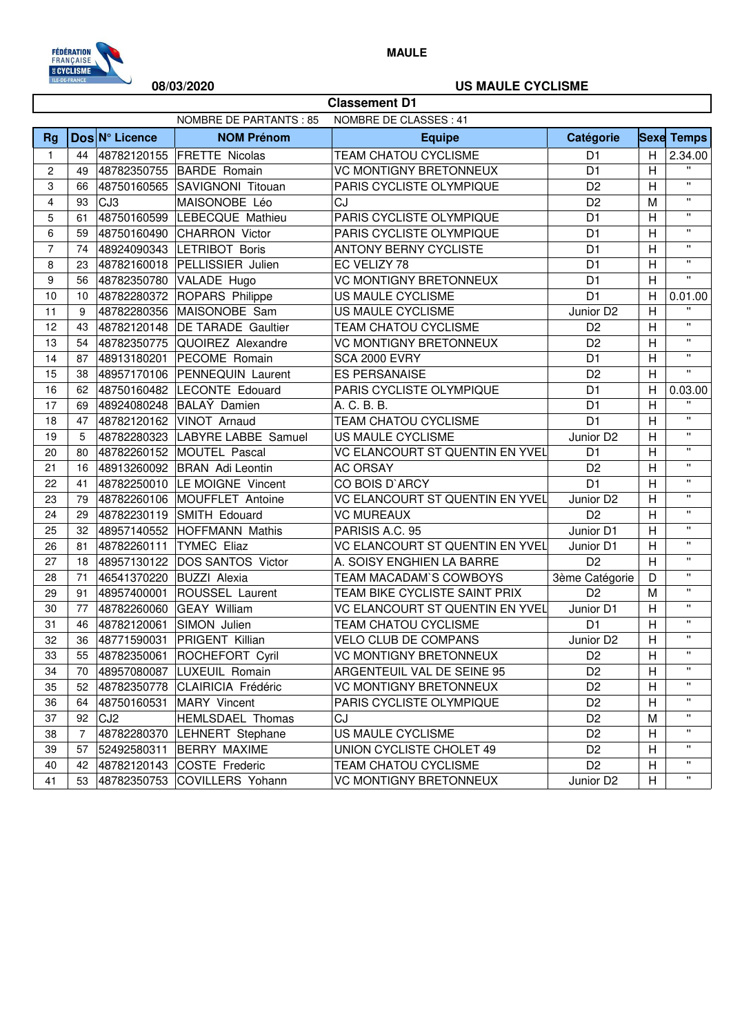

**MAULE**

## **08/03/2020 US MAULE CYCLISME**

| <b>Classement D1</b>                              |    |                 |                                  |                                 |                       |                           |                    |
|---------------------------------------------------|----|-----------------|----------------------------------|---------------------------------|-----------------------|---------------------------|--------------------|
| NOMBRE DE PARTANTS : 85<br>NOMBRE DE CLASSES : 41 |    |                 |                                  |                                 |                       |                           |                    |
| <b>Rg</b>                                         |    | Dos N° Licence  | <b>NOM Prénom</b>                | <b>Equipe</b>                   | Catégorie             |                           | <b>Sexe Temps</b>  |
| $\mathbf{1}$                                      | 44 |                 | 48782120155 FRETTE Nicolas       | <b>TEAM CHATOU CYCLISME</b>     | D <sub>1</sub>        | H                         | 2.34.00            |
| 2                                                 | 49 | 48782350755     | <b>BARDE</b> Romain              | <b>VC MONTIGNY BRETONNEUX</b>   | D <sub>1</sub>        | $\overline{H}$            | $\mathbf{u}$       |
| 3                                                 | 66 | 48750160565     | SAVIGNONI Titouan                | PARIS CYCLISTE OLYMPIQUE        | D <sub>2</sub>        | H                         | $\mathbf{u}$       |
| 4                                                 | 93 | CJ3             | MAISONOBE Léo                    | CJ                              | D <sub>2</sub>        | M                         | $\mathbf{H}$       |
| 5                                                 | 61 |                 | 48750160599 LEBECQUE Mathieu     | PARIS CYCLISTE OLYMPIQUE        | D <sub>1</sub>        | $\overline{H}$            | $\mathbf{H}$       |
| 6                                                 | 59 |                 | 48750160490 CHARRON Victor       | PARIS CYCLISTE OLYMPIQUE        | D <sub>1</sub>        | H                         | $\mathbf{H}$       |
| $\overline{7}$                                    | 74 |                 | 48924090343 LETRIBOT Boris       | <b>ANTONY BERNY CYCLISTE</b>    | D <sub>1</sub>        | H                         | $\mathbf{H}$       |
| 8                                                 | 23 |                 | 48782160018 PELLISSIER Julien    | EC VELIZY 78                    | D <sub>1</sub>        | H                         | $\mathbf{H}$       |
| 9                                                 | 56 |                 | 48782350780 VALADE Hugo          | <b>VC MONTIGNY BRETONNEUX</b>   | D <sub>1</sub>        | H                         | $\mathbf{u}$       |
| 10                                                | 10 |                 | 48782280372 ROPARS Philippe      | US MAULE CYCLISME               | D <sub>1</sub>        | H                         | 0.01.00            |
| 11                                                | 9  |                 | 48782280356 MAISONOBE Sam        | US MAULE CYCLISME               | Junior D <sub>2</sub> | H                         | H,                 |
| 12                                                | 43 |                 | 48782120148   DE TARADE Gaultier | TEAM CHATOU CYCLISME            | D <sub>2</sub>        | H                         | $\mathbf{H}$       |
| 13                                                | 54 |                 | 48782350775 QUOIREZ Alexandre    | <b>VC MONTIGNY BRETONNEUX</b>   | D <sub>2</sub>        | H                         | $\mathbf{u}$       |
| 14                                                | 87 | 48913180201     | PECOME Romain                    | SCA 2000 EVRY                   | D <sub>1</sub>        | $\overline{H}$            | $\mathbf{H}$       |
| 15                                                | 38 |                 | 48957170106 PENNEQUIN Laurent    | <b>ES PERSANAISE</b>            | D <sub>2</sub>        | H                         | $\mathbf{H}$       |
| 16                                                | 62 |                 | 48750160482 LECONTE Edouard      | PARIS CYCLISTE OLYMPIQUE        | D <sub>1</sub>        | H                         | 0.03.00            |
| 17                                                | 69 |                 | 48924080248 BALAY Damien         | A. C. B. B.                     | D <sub>1</sub>        | $\overline{H}$            | $\mathbf{u}$       |
| 18                                                | 47 |                 | 48782120162 VINOT Arnaud         | TEAM CHATOU CYCLISME            | D <sub>1</sub>        | H                         | $\mathbf{u}$       |
| 19                                                | 5  |                 | 48782280323  LABYRE LABBE Samuel | US MAULE CYCLISME               | Junior D <sub>2</sub> | $\mathsf{H}$              | $\mathbf{H}$       |
| 20                                                | 80 |                 | 48782260152 MOUTEL Pascal        | VC ELANCOURT ST QUENTIN EN YVEL | D <sub>1</sub>        | H                         | $\mathbf{u}$       |
| 21                                                | 16 |                 | 48913260092 BRAN Adi Leontin     | <b>AC ORSAY</b>                 | D <sub>2</sub>        | $\overline{H}$            | $\mathbf{H}$       |
| 22                                                | 41 |                 | 48782250010 LE MOIGNE Vincent    | CO BOIS D'ARCY                  | D <sub>1</sub>        | $\overline{H}$            | $\mathbf{H}$       |
| 23                                                | 79 |                 | 48782260106 MOUFFLET Antoine     | VC ELANCOURT ST QUENTIN EN YVEL | Junior D2             | $\boldsymbol{\mathsf{H}}$ | $\mathbf{H}$       |
| 24                                                | 29 |                 | 48782230119 SMITH Edouard        | <b>VC MUREAUX</b>               | D <sub>2</sub>        | H                         | $\mathbf{H}$       |
| 25                                                | 32 |                 | 48957140552 HOFFMANN Mathis      | PARISIS A.C. 95                 | Junior D1             | H                         | $\mathbf{H}$       |
| 26                                                | 81 | 48782260111     | <b>TYMEC Eliaz</b>               | VC ELANCOURT ST QUENTIN EN YVEL | Junior D1             | H                         | $\pmb{\mathsf{u}}$ |
| 27                                                | 18 | 48957130122     | <b>DOS SANTOS Victor</b>         | A. SOISY ENGHIEN LA BARRE       | D <sub>2</sub>        | H                         | $\mathbf{u}$       |
| 28                                                | 71 | 46541370220     | <b>BUZZI</b> Alexia              | TEAM MACADAM'S COWBOYS          | 3ème Catégorie        | D                         | $\mathbf{H}$       |
| 29                                                | 91 | 48957400001     | ROUSSEL Laurent                  | TEAM BIKE CYCLISTE SAINT PRIX   | D <sub>2</sub>        | M                         | $\mathbf{H}$       |
| 30                                                | 77 |                 | 48782260060 GEAY William         | VC ELANCOURT ST QUENTIN EN YVEL | Junior D1             | H                         | $\mathbf{H}$       |
| 31                                                | 46 | 48782120061     | SIMON Julien                     | <b>TEAM CHATOU CYCLISME</b>     | D <sub>1</sub>        | $\overline{H}$            | $\mathbf{H}$       |
| 32                                                | 36 | 48771590031     | <b>PRIGENT Killian</b>           | VELO CLUB DE COMPANS            | Junior D2             | H                         | $\mathbf{H}$       |
| 33                                                | 55 | 48782350061     | ROCHEFORT Cyril                  | VC MONTIGNY BRETONNEUX          | D <sub>2</sub>        | н                         | $\mathbf{H}$       |
| 34                                                | 70 | 48957080087     | <b>LUXEUIL Romain</b>            | ARGENTEUIL VAL DE SEINE 95      | D <sub>2</sub>        | Η                         | "                  |
| 35                                                | 52 | 48782350778     | CLAIRICIA Frédéric               | <b>VC MONTIGNY BRETONNEUX</b>   | D <sub>2</sub>        | Η                         | π.                 |
| 36                                                | 64 | 48750160531     | MARY Vincent                     | PARIS CYCLISTE OLYMPIQUE        | D <sub>2</sub>        | Н                         | $\pmb{\mathsf{H}}$ |
| 37                                                | 92 | CJ <sub>2</sub> | HEMLSDAEL Thomas                 | CJ                              | D <sub>2</sub>        | M                         | $\mathbf{H}$       |
| 38                                                | 7  | 48782280370     | <b>LEHNERT</b> Stephane          | US MAULE CYCLISME               | D <sub>2</sub>        | Н                         | π.                 |
| 39                                                | 57 | 52492580311     | <b>BERRY MAXIME</b>              | UNION CYCLISTE CHOLET 49        | D <sub>2</sub>        | Н                         | π.                 |
| 40                                                | 42 |                 | 48782120143 COSTE Frederic       | TEAM CHATOU CYCLISME            | D <sub>2</sub>        | н                         |                    |
| 41                                                | 53 |                 | 48782350753 COVILLERS Yohann     | VC MONTIGNY BRETONNEUX          | Junior D2             | H                         | $\mathbf{u}$       |